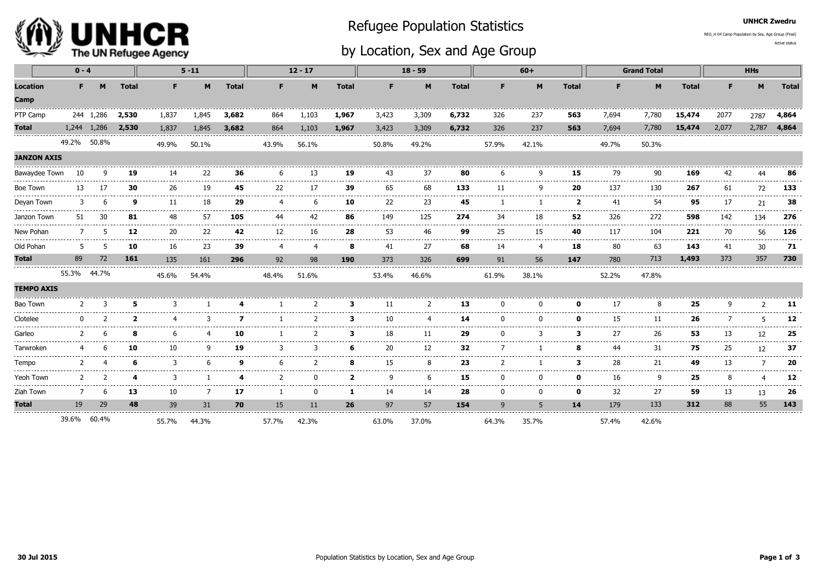

## Refugee Population Statistics

## by Location, Sex and Age Group

UNHCR Zwedru

Active statusREG\_H 04 Camp Population by Sex, Age Group (Final)

|                                               | $0 - 4$         |             |                  |                 | $5 - 11$                                                                                                                                                                                                                                                                                                                                                                                           |               | $12 - 17$     |                     |                  | $18 - 59$   |                    |                    |       | $60+$                          |              |                       | <b>Grand Total</b> |                | <b>HHs</b>       |                   |                        |
|-----------------------------------------------|-----------------|-------------|------------------|-----------------|----------------------------------------------------------------------------------------------------------------------------------------------------------------------------------------------------------------------------------------------------------------------------------------------------------------------------------------------------------------------------------------------------|---------------|---------------|---------------------|------------------|-------------|--------------------|--------------------|-------|--------------------------------|--------------|-----------------------|--------------------|----------------|------------------|-------------------|------------------------|
| <b>Location</b>                               | F.              | M           | <b>Total</b>     | F.              | M                                                                                                                                                                                                                                                                                                                                                                                                  | <b>Total</b>  | F.            | M                   | <b>Total</b>     | F.          | M                  | <b>Total</b>       | F.    | M                              | <b>Total</b> | F                     | M                  | <b>Total</b>   | F.               | M                 | <b>Total</b>           |
| Camp                                          |                 |             |                  |                 |                                                                                                                                                                                                                                                                                                                                                                                                    |               |               |                     |                  |             |                    |                    |       |                                |              |                       |                    |                |                  |                   |                        |
| PTP Camp                                      |                 | 244 1,286   | 2,530            | 1,837           | 1,845                                                                                                                                                                                                                                                                                                                                                                                              | 3,682         | 864           | 1,103               | 1,967            | 3,423       | 3,309              | 6,732              | 326   | 237                            | 563          | 7,694                 | 7,780              | 15,474         | 2077             | 2787              | 4,864                  |
| <b>Total</b>                                  |                 | 1,244 1,286 | 2,530            | 1,837           | 1,845                                                                                                                                                                                                                                                                                                                                                                                              | 3,682         | 864           | 1,103               | 1,967            | 3,423       | 3,309              | 6,732              | 326   | 237                            | 563          | 7,694                 | 7,780              | 15,474         | 2,077            | 2,787             | 4,864                  |
|                                               | 49.2% 50.8%     |             |                  | 49.9%           | 50.1%                                                                                                                                                                                                                                                                                                                                                                                              |               | 43.9%         | 56.1%               |                  | 50.8%       | 49.2%              |                    | 57.9% | 42.1%                          |              | 49.7%                 | 50.3%              |                |                  |                   |                        |
| <b>JANZON AXIS</b>                            |                 |             |                  |                 |                                                                                                                                                                                                                                                                                                                                                                                                    |               |               |                     |                  |             |                    |                    |       |                                |              |                       |                    |                |                  |                   |                        |
| Bawaydee Town                                 | 10              |             | 19               | 14              | 22                                                                                                                                                                                                                                                                                                                                                                                                 | 36            | 6             | 13                  | 19               | 43          | 37                 | 80                 | 6     | ٩                              | 15           | 79                    | 90                 | 169            | 42               |                   | 86                     |
| <b>Boe Town</b>                               | 13              |             | 30               | 26<br>--------- | 19<br>.                                                                                                                                                                                                                                                                                                                                                                                            | 45<br>.       | 22            | 17                  | 39<br>---------- | 65<br>.     | 68<br>.            | 133<br>----------- | 11    | q<br>------------------------- | 20<br>.      | 137<br>-------------- | 130<br>.           | 267            | 61               | 72                | 133                    |
| Deyan Town<br>----------------------------    |                 |             | ą                | 11<br>--------  | 18<br>.                                                                                                                                                                                                                                                                                                                                                                                            | 29<br>------  | 4             |                     | 10               | 22<br>----- | 23<br>.            | 45                 |       |                                | 2            | 41<br>.               | 54<br>------       | 95<br>.        | 17               | 21                | 38<br>-------          |
| Janzon Town<br>------------------------------ | 51              | 30          | 81<br>---------- | 48<br>--------- | 57<br>$\frac{1}{2} \frac{1}{2} \frac{1}{2} \frac{1}{2} \frac{1}{2} \frac{1}{2} \frac{1}{2} \frac{1}{2} \frac{1}{2} \frac{1}{2} \frac{1}{2} \frac{1}{2} \frac{1}{2} \frac{1}{2} \frac{1}{2} \frac{1}{2} \frac{1}{2} \frac{1}{2} \frac{1}{2} \frac{1}{2} \frac{1}{2} \frac{1}{2} \frac{1}{2} \frac{1}{2} \frac{1}{2} \frac{1}{2} \frac{1}{2} \frac{1}{2} \frac{1}{2} \frac{1}{2} \frac{1}{2} \frac{$ | 105<br>------ | 44<br>.       | 42<br>------------- | 86<br>-------    | 149         | 125<br>---------   | 274<br>----------- | 34    | 18                             | 52<br>.      | 326<br>.              | 272<br>----------  | 598<br>------- | 142<br>--------- | 134<br>.          | 276<br>--------        |
| New Pohan                                     |                 |             | 12               | 20<br>.         | 22<br>.                                                                                                                                                                                                                                                                                                                                                                                            | 42            | 12            | 16                  | 28               | 53          | 46                 | 99                 | 25    | 15                             | 40           | 117                   | 104                | 221            | 70               | 56<br>-----       | 126                    |
| Old Pohan                                     | -5              |             | 10               | 16              | 23                                                                                                                                                                                                                                                                                                                                                                                                 | 39            | 4             | 4                   | 8                | 41          | 27                 | 68                 | 14    | $\overline{4}$                 | 18           | 80                    | 63                 | 143            | 41               | 30                | 71                     |
| <b>Total</b>                                  | 89              | 72          | 161              | 135             | 161                                                                                                                                                                                                                                                                                                                                                                                                | 296           | 92            | 98                  | 190              | 373         | 326                | 699                | 91    | 56                             | 147          | 780                   | 713                | 1,493          | 373              | 357               | 730                    |
|                                               | 55.3% 44.7%     |             |                  | 45.6%           | 54.4%                                                                                                                                                                                                                                                                                                                                                                                              |               | 48.4%         | 51.6%               |                  | 53.4%       | 46.6%              |                    | 61.9% | 38.1%                          |              | 52.2%                 | 47.8%              |                |                  |                   |                        |
| <b>TEMPO AXIS</b>                             |                 |             |                  |                 |                                                                                                                                                                                                                                                                                                                                                                                                    |               |               |                     |                  |             |                    |                    |       |                                |              |                       |                    |                |                  |                   |                        |
| Bao Town                                      | --------------- |             |                  |                 |                                                                                                                                                                                                                                                                                                                                                                                                    |               |               |                     | З                | 11          |                    | 13                 |       |                                | ŋ            | 17                    | 8                  | 25             |                  |                   | 11                     |
| Clotelee                                      |                 |             |                  |                 |                                                                                                                                                                                                                                                                                                                                                                                                    |               |               |                     | з                | 10          | Δ                  | 14                 |       |                                | O            | 15                    | 11                 | 26             |                  |                   | 12                     |
| Garleo                                        |                 |             | я                |                 |                                                                                                                                                                                                                                                                                                                                                                                                    | 10            |               |                     | З                | 18          | 11                 | 29                 |       |                                | з            | 27                    | 26                 | 53             | 13               | 12                | 25                     |
| Tarwroken                                     |                 |             | 10               | 10              | q                                                                                                                                                                                                                                                                                                                                                                                                  | 19            | 3             |                     | 6                | 20          | 12                 | 32                 |       |                                | 8            | 44                    | 31                 | 75             | 25               | 12                | 37<br>.                |
| Tempo                                         |                 |             |                  |                 |                                                                                                                                                                                                                                                                                                                                                                                                    | $\Omega$      |               |                     |                  | 15          | 8                  | 23                 |       |                                |              | 28                    | 21                 | 49             | 13               |                   | 20<br>.                |
| Yeoh Town                                     | - 2             |             |                  | 3<br>.          |                                                                                                                                                                                                                                                                                                                                                                                                    | Δ             | $\mathcal{P}$ | n                   | $\overline{2}$   | q           | 6<br>$\frac{1}{2}$ | 15                 | ŋ     | $\Omega$                       | $\mathbf 0$  | 16<br>------          | q                  | 25<br>-----    | 8                |                   | 12<br>---------------- |
| Ziah Town                                     |                 |             | .<br>13          | 10              | 7                                                                                                                                                                                                                                                                                                                                                                                                  | 17            |               |                     | 1                | 14          | 14                 | .<br>28            |       | .<br>$\Omega$                  | O            | 32                    | ------<br>27       | 59             | 13               | -----------<br>13 | 26                     |
| <b>Total</b><br>.                             | 19              | 29          | 48               | 39              | 31                                                                                                                                                                                                                                                                                                                                                                                                 | 70            | 15            | 11                  | 26               | 97          | 57                 | 154                | 9     | 5                              | 14           | 179                   | 133                | 312            | 88               | 55                | 143                    |
|                                               | 39.6% 60.4%     |             |                  | 55.7%           | 44.3%                                                                                                                                                                                                                                                                                                                                                                                              |               | 57.7%         | 42.3%               |                  | 63.0%       | 37.0%              |                    | 64.3% | 35.7%                          |              | 57.4%                 | 42.6%              |                |                  |                   |                        |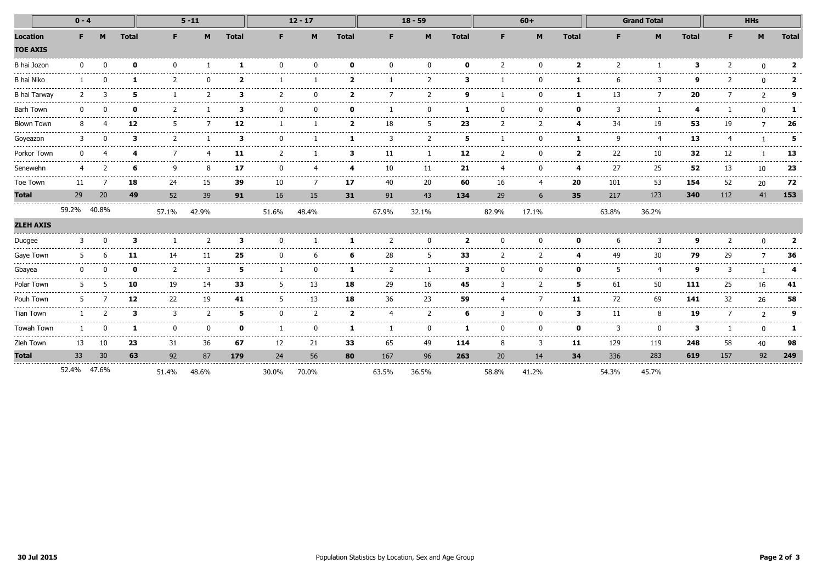|                                                        | $0 - 4$     |    |                                                                                                                                                                                                                                                                                                                                                                                                                                                                                 | $5 - 11$                                                                                                                                                                                                                                                                                                                                                                                                                                                                         |                                                                                                                                                                                                                                                                                                                                                                                                    |              |          | $12 - 17$    |                          | $18 - 59$       |                |                  |          | $60+$                     |                         | <b>Grand Total</b>                                                                                                                                                                                                                                                                                                                                                                                 |                              |                    | <b>HHs</b>     |               |               |
|--------------------------------------------------------|-------------|----|---------------------------------------------------------------------------------------------------------------------------------------------------------------------------------------------------------------------------------------------------------------------------------------------------------------------------------------------------------------------------------------------------------------------------------------------------------------------------------|----------------------------------------------------------------------------------------------------------------------------------------------------------------------------------------------------------------------------------------------------------------------------------------------------------------------------------------------------------------------------------------------------------------------------------------------------------------------------------|----------------------------------------------------------------------------------------------------------------------------------------------------------------------------------------------------------------------------------------------------------------------------------------------------------------------------------------------------------------------------------------------------|--------------|----------|--------------|--------------------------|-----------------|----------------|------------------|----------|---------------------------|-------------------------|----------------------------------------------------------------------------------------------------------------------------------------------------------------------------------------------------------------------------------------------------------------------------------------------------------------------------------------------------------------------------------------------------|------------------------------|--------------------|----------------|---------------|---------------|
| <b>Location</b><br><b>TOE AXIS</b>                     | F.          | M  | <b>Total</b>                                                                                                                                                                                                                                                                                                                                                                                                                                                                    | F.                                                                                                                                                                                                                                                                                                                                                                                                                                                                               | M                                                                                                                                                                                                                                                                                                                                                                                                  | <b>Total</b> | F.       | M            | <b>Total</b>             | F.              | M              | <b>Total</b>     | F.       | M                         | <b>Total</b>            | F.                                                                                                                                                                                                                                                                                                                                                                                                 | M                            | <b>Total</b>       | F.             | M             | <b>Total</b>  |
| B hai Jozon                                            |             |    | O                                                                                                                                                                                                                                                                                                                                                                                                                                                                               | $\Omega$                                                                                                                                                                                                                                                                                                                                                                                                                                                                         |                                                                                                                                                                                                                                                                                                                                                                                                    | -1           | $\Omega$ |              | n                        | n               | <sup>n</sup>   | ŋ                |          |                           | $\overline{\mathbf{2}}$ |                                                                                                                                                                                                                                                                                                                                                                                                    |                              | в                  |                | $\Omega$      | 2             |
| <b>B</b> hai Niko                                      |             |    |                                                                                                                                                                                                                                                                                                                                                                                                                                                                                 |                                                                                                                                                                                                                                                                                                                                                                                                                                                                                  | -------------------                                                                                                                                                                                                                                                                                                                                                                                | כ            |          |              | 2                        |                 |                | з                |          |                           |                         |                                                                                                                                                                                                                                                                                                                                                                                                    | २                            | o                  |                | $\Omega$      | 2             |
| <b>B</b> hai Tarway                                    |             |    | 5                                                                                                                                                                                                                                                                                                                                                                                                                                                                               |                                                                                                                                                                                                                                                                                                                                                                                                                                                                                  |                                                                                                                                                                                                                                                                                                                                                                                                    | з            |          |              |                          |                 |                |                  |          |                           |                         | 13                                                                                                                                                                                                                                                                                                                                                                                                 |                              | 20                 |                | $\mathcal{D}$ | a             |
| <b>Barh Town</b><br>---------------------------------- |             |    |                                                                                                                                                                                                                                                                                                                                                                                                                                                                                 |                                                                                                                                                                                                                                                                                                                                                                                                                                                                                  |                                                                                                                                                                                                                                                                                                                                                                                                    | З            |          |              |                          |                 |                |                  |          |                           | n                       |                                                                                                                                                                                                                                                                                                                                                                                                    |                              |                    |                | $\Omega$      |               |
| <b>Blown Town</b>                                      |             |    | 12                                                                                                                                                                                                                                                                                                                                                                                                                                                                              |                                                                                                                                                                                                                                                                                                                                                                                                                                                                                  |                                                                                                                                                                                                                                                                                                                                                                                                    | 12           |          |              | כ                        | 18              |                | 23               |          |                           | Δ                       | 34                                                                                                                                                                                                                                                                                                                                                                                                 | 19                           | 53                 | 19             |               | 26            |
| Goyeazon                                               |             |    | з                                                                                                                                                                                                                                                                                                                                                                                                                                                                               |                                                                                                                                                                                                                                                                                                                                                                                                                                                                                  |                                                                                                                                                                                                                                                                                                                                                                                                    | з            |          |              |                          |                 |                | 5                |          |                           |                         | q                                                                                                                                                                                                                                                                                                                                                                                                  |                              | 13                 |                |               | 5             |
| Porkor Town                                            |             |    |                                                                                                                                                                                                                                                                                                                                                                                                                                                                                 |                                                                                                                                                                                                                                                                                                                                                                                                                                                                                  |                                                                                                                                                                                                                                                                                                                                                                                                    | 11           |          |              | з                        | 11              |                | 12               |          |                           |                         | 22                                                                                                                                                                                                                                                                                                                                                                                                 | 10                           | 32                 | 12             |               | 13            |
| Senewehn                                               |             |    | 6<br>.                                                                                                                                                                                                                                                                                                                                                                                                                                                                          | q<br>-------                                                                                                                                                                                                                                                                                                                                                                                                                                                                     | 8<br>.                                                                                                                                                                                                                                                                                                                                                                                             | 17<br>.      | .        | --------     | --------                 | 10<br>--------- | 11<br>.        | 21<br>---------- | ------   | ------                    | Δ<br>.                  | 27<br>.                                                                                                                                                                                                                                                                                                                                                                                            | 25<br>-------                | 52<br>.            | 13<br>-------- | 10<br>.       | 23<br>------- |
| Toe Town                                               | 11          | -7 | 18                                                                                                                                                                                                                                                                                                                                                                                                                                                                              | 24                                                                                                                                                                                                                                                                                                                                                                                                                                                                               | 15                                                                                                                                                                                                                                                                                                                                                                                                 | 39           | 10       |              | 17                       | 40              | 20             | 60               | 16       |                           | 20                      | 101                                                                                                                                                                                                                                                                                                                                                                                                | 53                           | 154                | 52             | 20            | 72            |
| <b>Total</b>                                           | 29          | 20 | 49                                                                                                                                                                                                                                                                                                                                                                                                                                                                              | 52                                                                                                                                                                                                                                                                                                                                                                                                                                                                               | 39                                                                                                                                                                                                                                                                                                                                                                                                 | 91           | 16       | 15           | 31                       | 91              | 43             | 134              | 29       | 6                         | 35                      | 217                                                                                                                                                                                                                                                                                                                                                                                                | 123                          | 340                | 112            | 41            | 153           |
| <b>ZLEH AXIS</b>                                       | 59.2% 40.8% |    |                                                                                                                                                                                                                                                                                                                                                                                                                                                                                 | 57.1%                                                                                                                                                                                                                                                                                                                                                                                                                                                                            | 42.9%                                                                                                                                                                                                                                                                                                                                                                                              |              | 51.6%    | 48.4%        |                          | 67.9%           | 32.1%          |                  | 82.9%    | 17.1%                     |                         | 63.8%                                                                                                                                                                                                                                                                                                                                                                                              | 36.2%                        |                    |                |               |               |
| Duogee                                                 | 3           |    | 3                                                                                                                                                                                                                                                                                                                                                                                                                                                                               | .                                                                                                                                                                                                                                                                                                                                                                                                                                                                                | $\overline{2}$                                                                                                                                                                                                                                                                                                                                                                                     | 3            | n        |              | 1.                       | 2               | $\Omega$       | $\overline{2}$   | $\Omega$ | U                         | 0                       | 6                                                                                                                                                                                                                                                                                                                                                                                                  | 3                            | a                  | 2              | $\Omega$      |               |
| Gaye Town                                              | 5           |    | 11                                                                                                                                                                                                                                                                                                                                                                                                                                                                              | 14                                                                                                                                                                                                                                                                                                                                                                                                                                                                               | 11                                                                                                                                                                                                                                                                                                                                                                                                 | 25           | $\Omega$ |              | 6                        | 28              | 5              | 33               |          |                           | 4                       | 49                                                                                                                                                                                                                                                                                                                                                                                                 | 30                           | 79                 | 29             |               | 36            |
| Gbayea                                                 |             |    | n<br>$\frac{1}{2} \left( \frac{1}{2} \right) \left( \frac{1}{2} \right) \left( \frac{1}{2} \right) \left( \frac{1}{2} \right) \left( \frac{1}{2} \right) \left( \frac{1}{2} \right) \left( \frac{1}{2} \right) \left( \frac{1}{2} \right) \left( \frac{1}{2} \right) \left( \frac{1}{2} \right) \left( \frac{1}{2} \right) \left( \frac{1}{2} \right) \left( \frac{1}{2} \right) \left( \frac{1}{2} \right) \left( \frac{1}{2} \right) \left( \frac{1}{2} \right) \left( \frac$ | $\mathcal{P}$                                                                                                                                                                                                                                                                                                                                                                                                                                                                    | 3<br>------------------                                                                                                                                                                                                                                                                                                                                                                            | 5<br>------  |          |              | 1                        |                 | .              | З<br>.           | $\Omega$ | ------------------------- | <sup>0</sup>            |                                                                                                                                                                                                                                                                                                                                                                                                    | 4<br>----------------------- | a<br>.             |                |               |               |
| Polar Town                                             | 5           |    | 10                                                                                                                                                                                                                                                                                                                                                                                                                                                                              | 19                                                                                                                                                                                                                                                                                                                                                                                                                                                                               | 14                                                                                                                                                                                                                                                                                                                                                                                                 | 33           | .        | ------<br>13 | 18                       | 29              | 16             | 45               |          |                           | -------------<br>5      | 61                                                                                                                                                                                                                                                                                                                                                                                                 | 50<br>-------                | 111                | 25             | 16            | 41            |
| Pouh Town                                              |             |    | 12                                                                                                                                                                                                                                                                                                                                                                                                                                                                              | $\frac{1}{2} \left( \frac{1}{2} \right) \left( \frac{1}{2} \right) \left( \frac{1}{2} \right) \left( \frac{1}{2} \right) \left( \frac{1}{2} \right) \left( \frac{1}{2} \right) \left( \frac{1}{2} \right) \left( \frac{1}{2} \right) \left( \frac{1}{2} \right) \left( \frac{1}{2} \right) \left( \frac{1}{2} \right) \left( \frac{1}{2} \right) \left( \frac{1}{2} \right) \left( \frac{1}{2} \right) \left( \frac{1}{2} \right) \left( \frac{1}{2} \right) \left( \frac$<br>22 | $\frac{1}{2} \frac{1}{2} \frac{1}{2} \frac{1}{2} \frac{1}{2} \frac{1}{2} \frac{1}{2} \frac{1}{2} \frac{1}{2} \frac{1}{2} \frac{1}{2} \frac{1}{2} \frac{1}{2} \frac{1}{2} \frac{1}{2} \frac{1}{2} \frac{1}{2} \frac{1}{2} \frac{1}{2} \frac{1}{2} \frac{1}{2} \frac{1}{2} \frac{1}{2} \frac{1}{2} \frac{1}{2} \frac{1}{2} \frac{1}{2} \frac{1}{2} \frac{1}{2} \frac{1}{2} \frac{1}{2} \frac{$<br>19 | 41           |          | 13           | 18                       | 36              | -----<br>23    | 59               |          |                           | 11                      | $\frac{1}{2} \frac{1}{2} \frac{1}{2} \frac{1}{2} \frac{1}{2} \frac{1}{2} \frac{1}{2} \frac{1}{2} \frac{1}{2} \frac{1}{2} \frac{1}{2} \frac{1}{2} \frac{1}{2} \frac{1}{2} \frac{1}{2} \frac{1}{2} \frac{1}{2} \frac{1}{2} \frac{1}{2} \frac{1}{2} \frac{1}{2} \frac{1}{2} \frac{1}{2} \frac{1}{2} \frac{1}{2} \frac{1}{2} \frac{1}{2} \frac{1}{2} \frac{1}{2} \frac{1}{2} \frac{1}{2} \frac{$<br>72 | 69                           | 141                | 32             | ------<br>26  | 58            |
| <b>Tian Town</b>                                       |             |    | 3                                                                                                                                                                                                                                                                                                                                                                                                                                                                               | 3                                                                                                                                                                                                                                                                                                                                                                                                                                                                                | $\overline{2}$                                                                                                                                                                                                                                                                                                                                                                                     | 5            | $\Omega$ |              | $\overline{\phantom{a}}$ |                 | $\overline{2}$ |                  |          |                           | 3                       | 11                                                                                                                                                                                                                                                                                                                                                                                                 | 8                            | 19                 |                | $\mathcal{P}$ | 9             |
| Towah Town                                             |             |    | .                                                                                                                                                                                                                                                                                                                                                                                                                                                                               | $\Omega$<br>-----                                                                                                                                                                                                                                                                                                                                                                                                                                                                | n                                                                                                                                                                                                                                                                                                                                                                                                  | $\Omega$     |          |              | 1                        |                 | $\Omega$       | 1                | $\Omega$ | ŋ                         | $\mathbf{0}$<br>-----   | 3                                                                                                                                                                                                                                                                                                                                                                                                  | $\Omega$<br>.                | 3<br>$\frac{1}{2}$ |                | $\Omega$<br>. | 1             |
| Zleh Town                                              | 13          | 10 | 23                                                                                                                                                                                                                                                                                                                                                                                                                                                                              | 31                                                                                                                                                                                                                                                                                                                                                                                                                                                                               | -----<br>36                                                                                                                                                                                                                                                                                                                                                                                        | 67           | 12       | 21           | 33                       | 65              | .<br>49        | 114              | 8        |                           | 11                      | 129                                                                                                                                                                                                                                                                                                                                                                                                | 119                          | 248                | 58             | 40            | 98            |
| <b>Total</b>                                           | 33          | 30 | 63                                                                                                                                                                                                                                                                                                                                                                                                                                                                              | 92                                                                                                                                                                                                                                                                                                                                                                                                                                                                               | 87                                                                                                                                                                                                                                                                                                                                                                                                 | 179          | 24       | 56           | 80                       | 167             | 96             | 263              | 20       | 14                        | 34                      | 336                                                                                                                                                                                                                                                                                                                                                                                                | 283                          | 619                | 157            | 92            | 249           |
|                                                        | 52.4% 47.6% |    |                                                                                                                                                                                                                                                                                                                                                                                                                                                                                 | 51.4%                                                                                                                                                                                                                                                                                                                                                                                                                                                                            | 48.6%                                                                                                                                                                                                                                                                                                                                                                                              |              | 30.0%    | 70.0%        |                          | 63.5%           | 36.5%          |                  | 58.8%    | 41.2%                     |                         | 54.3%                                                                                                                                                                                                                                                                                                                                                                                              | 45.7%                        |                    |                |               |               |